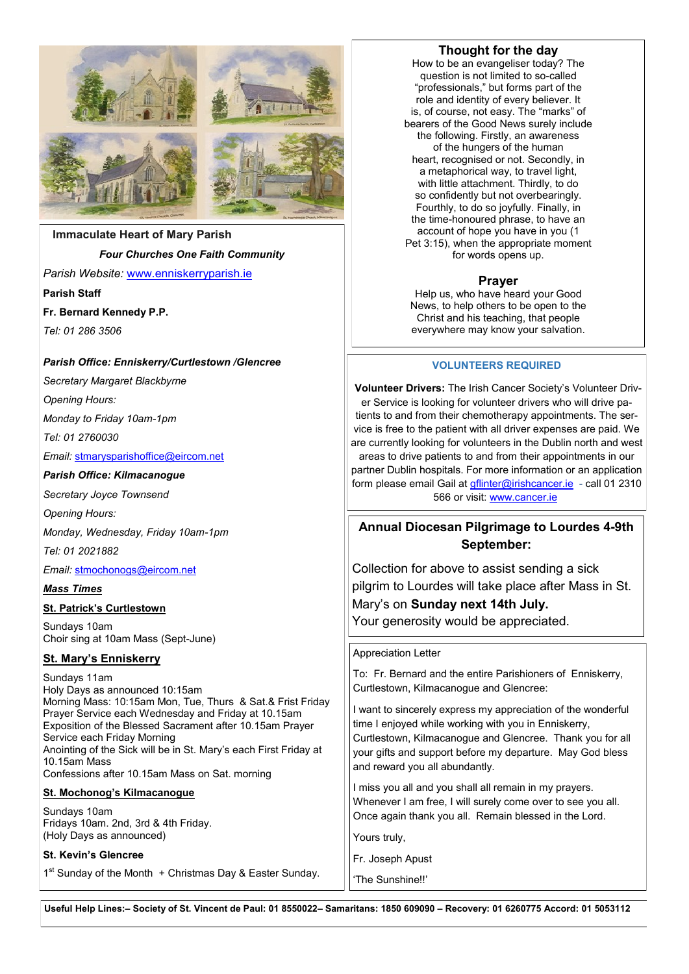

## **Immaculate Heart of Mary Parish**

#### *Four Churches One Faith Community*

*Parish Website:* [www.enniskerryparish.ie](http://www.enniskerryparish.ie)

**Parish Staff**

**Fr. Bernard Kennedy P.P.**

*Tel: 01 286 3506* 

#### *Parish Office: Enniskerry/Curtlestown /Glencree*

*Secretary Margaret Blackbyrne* 

*Opening Hours:*

*Monday to Friday 10am-1pm*

*Tel: 01 2760030*

*Email:* [stmarysparishoffice@eircom.net](mailto:stmarysparishoffice@eircom.net)

#### *Parish Office: Kilmacanogue*

*Secretary Joyce Townsend* 

*Opening Hours:*

*Monday, Wednesday, Friday 10am-1pm*

*Tel: 01 2021882*

*Email:* [stmochonogs@eircom.net](mailto:stmochonogs@eircom.net)

#### *Mass Times*

#### **St. Patrick's Curtlestown**

Sundays 10am Choir sing at 10am Mass (Sept-June)

## **St. Mary's Enniskerry**

Sundays 11am Holy Days as announced 10:15am Morning Mass: 10:15am Mon, Tue, Thurs & Sat.& Frist Friday Prayer Service each Wednesday and Friday at 10.15am Exposition of the Blessed Sacrament after 10.15am Prayer Service each Friday Morning Anointing of the Sick will be in St. Mary's each First Friday at 10.15am Mass Confessions after 10.15am Mass on Sat. morning **St. Mochonog's Kilmacanogue** Sundays 10am Fridays 10am. 2nd, 3rd & 4th Friday. (Holy Days as announced)

## **St. Kevin's Glencree**

1<sup>st</sup> Sunday of the Month + Christmas Day & Easter Sunday.

## **Thought for the day**

How to be an evangeliser today? The question is not limited to so-called "professionals," but forms part of the role and identity of every believer. It is, of course, not easy. The "marks" of bearers of the Good News surely include the following. Firstly, an awareness of the hungers of the human heart, recognised or not. Secondly, in a metaphorical way, to travel light, with little attachment. Thirdly, to do so confidently but not overbearingly. Fourthly, to do so joyfully. Finally, in the time-honoured phrase, to have an account of hope you have in you (1 Pet 3:15), when the appropriate moment for words opens up.

## **Prayer**

Help us, who have heard your Good News, to help others to be open to the Christ and his teaching, that people everywhere may know your salvation.

#### **VOLUNTEERS REQUIRED**

**Volunteer Drivers:** The Irish Cancer Society's Volunteer Driver Service is looking for volunteer drivers who will drive patients to and from their chemotherapy appointments. The service is free to the patient with all driver expenses are paid. We are currently looking for volunteers in the Dublin north and west areas to drive patients to and from their appointments in our partner Dublin hospitals. For more information or an application form please email Gail at *gflinter@irishcancer.ie - call 01 2310* 566 or visit: [www.cancer.ie](http://www.cancer.ie)

# **Annual Diocesan Pilgrimage to Lourdes 4-9th September:**

Collection for above to assist sending a sick pilgrim to Lourdes will take place after Mass in St. Mary's on **Sunday next 14th July.**  Your generosity would be appreciated.

Appreciation Letter

To: Fr. Bernard and the entire Parishioners of Enniskerry, Curtlestown, Kilmacanogue and Glencree:

I want to sincerely express my appreciation of the wonderful time I enjoyed while working with you in Enniskerry, Curtlestown, Kilmacanogue and Glencree. Thank you for all your gifts and support before my departure. May God bless and reward you all abundantly.

I miss you all and you shall all remain in my prayers. Whenever I am free, I will surely come over to see you all. Once again thank you all. Remain blessed in the Lord.

Yours truly,

Fr. Joseph Apust

'The Sunshine!!'

**Useful Help Lines:– Society of St. Vincent de Paul: 01 8550022– Samaritans: 1850 609090 – Recovery: 01 6260775 Accord: 01 5053112**